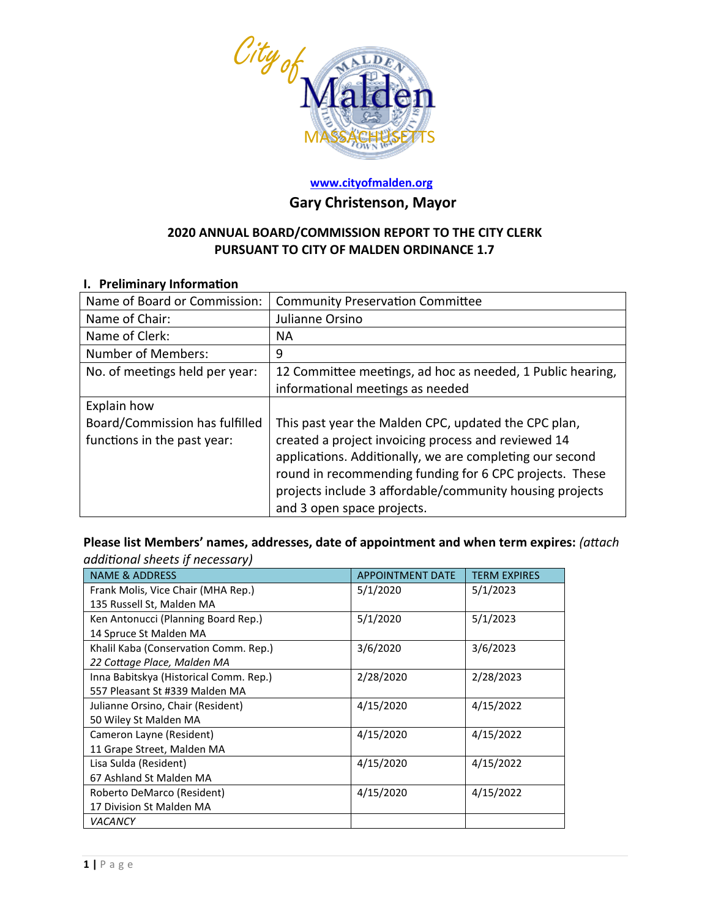

#### **[www.cityofmalden.org](http://www.cityofmalden.org/)**

## **Gary Christenson, Mayor**

### **2020 ANNUAL BOARD/COMMISSION REPORT TO THE CITY CLERK PURSUANT TO CITY OF MALDEN ORDINANCE 1.7**

#### **I. Preliminary Information**

| Name of Board or Commission:   | <b>Community Preservation Committee</b>                    |
|--------------------------------|------------------------------------------------------------|
| Name of Chair:                 | Julianne Orsino                                            |
| Name of Clerk:                 | ΝA                                                         |
| Number of Members:             | 9                                                          |
| No. of meetings held per year: | 12 Committee meetings, ad hoc as needed, 1 Public hearing, |
|                                | informational meetings as needed                           |
| Explain how                    |                                                            |
| Board/Commission has fulfilled | This past year the Malden CPC, updated the CPC plan,       |
| functions in the past year:    | created a project invoicing process and reviewed 14        |
|                                | applications. Additionally, we are completing our second   |
|                                | round in recommending funding for 6 CPC projects. These    |
|                                | projects include 3 affordable/community housing projects   |
|                                | and 3 open space projects.                                 |

**Please list Members' names, addresses, date of appointment and when term expires:** *(attach additional sheets if necessary)*

| <b>NAME &amp; ADDRESS</b>              | <b>APPOINTMENT DATE</b> | <b>TERM EXPIRES</b> |
|----------------------------------------|-------------------------|---------------------|
| Frank Molis, Vice Chair (MHA Rep.)     | 5/1/2020                | 5/1/2023            |
| 135 Russell St, Malden MA              |                         |                     |
| Ken Antonucci (Planning Board Rep.)    | 5/1/2020                | 5/1/2023            |
| 14 Spruce St Malden MA                 |                         |                     |
| Khalil Kaba (Conservation Comm. Rep.)  | 3/6/2020                | 3/6/2023            |
| 22 Cottage Place, Malden MA            |                         |                     |
| Inna Babitskya (Historical Comm. Rep.) | 2/28/2020               | 2/28/2023           |
| 557 Pleasant St #339 Malden MA         |                         |                     |
| Julianne Orsino, Chair (Resident)      | 4/15/2020               | 4/15/2022           |
| 50 Wiley St Malden MA                  |                         |                     |
| Cameron Layne (Resident)               | 4/15/2020               | 4/15/2022           |
| 11 Grape Street, Malden MA             |                         |                     |
| Lisa Sulda (Resident)                  | 4/15/2020               | 4/15/2022           |
| 67 Ashland St Malden MA                |                         |                     |
| Roberto DeMarco (Resident)             | 4/15/2020               | 4/15/2022           |
| 17 Division St Malden MA               |                         |                     |
| <b>VACANCY</b>                         |                         |                     |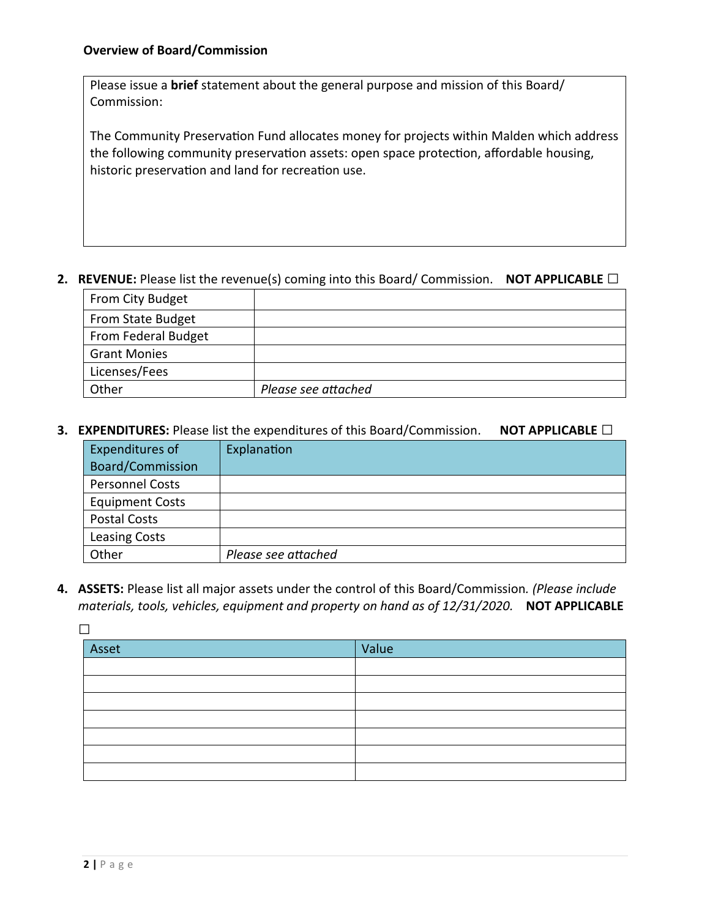Please issue a **brief** statement about the general purpose and mission of this Board/ Commission:

The Community Preservation Fund allocates money for projects within Malden which address the following community preservation assets: open space protection, affordable housing, historic preservation and land for recreation use.

#### **2. REVENUE:** Please list the revenue(s) coming into this Board/ Commission. **NOT APPLICABLE □**

| From City Budget    |                     |
|---------------------|---------------------|
| From State Budget   |                     |
| From Federal Budget |                     |
| <b>Grant Monies</b> |                     |
| Licenses/Fees       |                     |
| Other               | Please see attached |

**3. EXPENDITURES:** Please list the expenditures of this Board/Commission. **NOT APPLICABLE □**

| Expenditures of         | Explanation         |
|-------------------------|---------------------|
| <b>Board/Commission</b> |                     |
| <b>Personnel Costs</b>  |                     |
| <b>Equipment Costs</b>  |                     |
| <b>Postal Costs</b>     |                     |
| <b>Leasing Costs</b>    |                     |
| Other                   | Please see attached |

**4. ASSETS:** Please list all major assets under the control of this Board/Commission*. (Please include materials, tools, vehicles, equipment and property on hand as of 12/31/2020.* **NOT APPLICABLE** 

**□**

| Asset | Value |
|-------|-------|
|       |       |
|       |       |
|       |       |
|       |       |
|       |       |
|       |       |
|       |       |